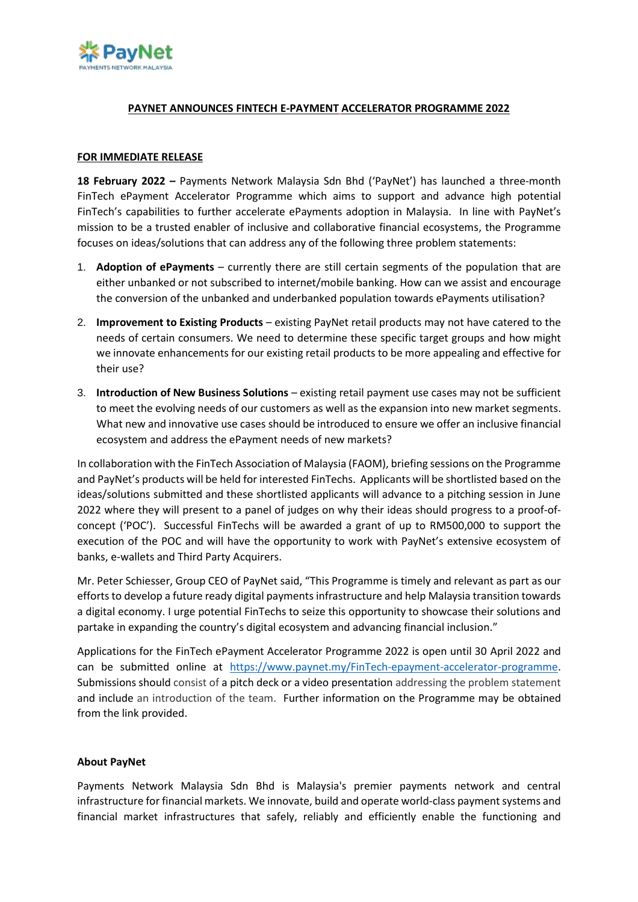

## **PAYNET ANNOUNCES FINTECH E-PAYMENT ACCELERATOR PROGRAMME 2022**

## **FOR IMMEDIATE RELEASE**

**18 February 2022 –** Payments Network Malaysia Sdn Bhd ('PayNet') has launched a three-month FinTech ePayment Accelerator Programme which aims to support and advance high potential FinTech's capabilities to further accelerate ePayments adoption in Malaysia. In line with PayNet's mission to be a trusted enabler of inclusive and collaborative financial ecosystems, the Programme focuses on ideas/solutions that can address any of the following three problem statements:

- 1. **Adoption of ePayments**  currently there are still certain segments of the population that are either unbanked or not subscribed to internet/mobile banking. How can we assist and encourage the conversion of the unbanked and underbanked population towards ePayments utilisation?
- 2. **Improvement to Existing Products**  existing PayNet retail products may not have catered to the needs of certain consumers. We need to determine these specific target groups and how might we innovate enhancements for our existing retail products to be more appealing and effective for their use?
- 3. **Introduction of New Business Solutions**  existing retail payment use cases may not be sufficient to meet the evolving needs of our customers as well as the expansion into new market segments. What new and innovative use cases should be introduced to ensure we offer an inclusive financial ecosystem and address the ePayment needs of new markets?

In collaboration with the FinTech Association of Malaysia (FAOM), briefing sessions on the Programme and PayNet's products will be held for interested FinTechs. Applicants will be shortlisted based on the ideas/solutions submitted and these shortlisted applicants will advance to a pitching session in June 2022 where they will present to a panel of judges on why their ideas should progress to a proof-ofconcept ('POC'). Successful FinTechs will be awarded a grant of up to RM500,000 to support the execution of the POC and will have the opportunity to work with PayNet's extensive ecosystem of banks, e-wallets and Third Party Acquirers.

Mr. Peter Schiesser, Group CEO of PayNet said, "This Programme is timely and relevant as part as our efforts to develop a future ready digital payments infrastructure and help Malaysia transition towards a digital economy. I urge potential FinTechs to seize this opportunity to showcase their solutions and partake in expanding the country's digital ecosystem and advancing financial inclusion."

Applications for the FinTech ePayment Accelerator Programme 2022 is open until 30 April 2022 and can be submitted online at [https://www.paynet.my/FinTech-epayment-accelerator-programme.](https://www.paynet.my/fintech-epayment-accelerator-programme) Submissions should consist of a pitch deck or a video presentation addressing the problem statement and include an introduction of the team. Further information on the Programme may be obtained from the link provided.

## **About PayNet**

Payments Network Malaysia Sdn Bhd is Malaysia's premier payments network and central infrastructure for financial markets. We innovate, build and operate world-class payment systems and financial market infrastructures that safely, reliably and efficiently enable the functioning and